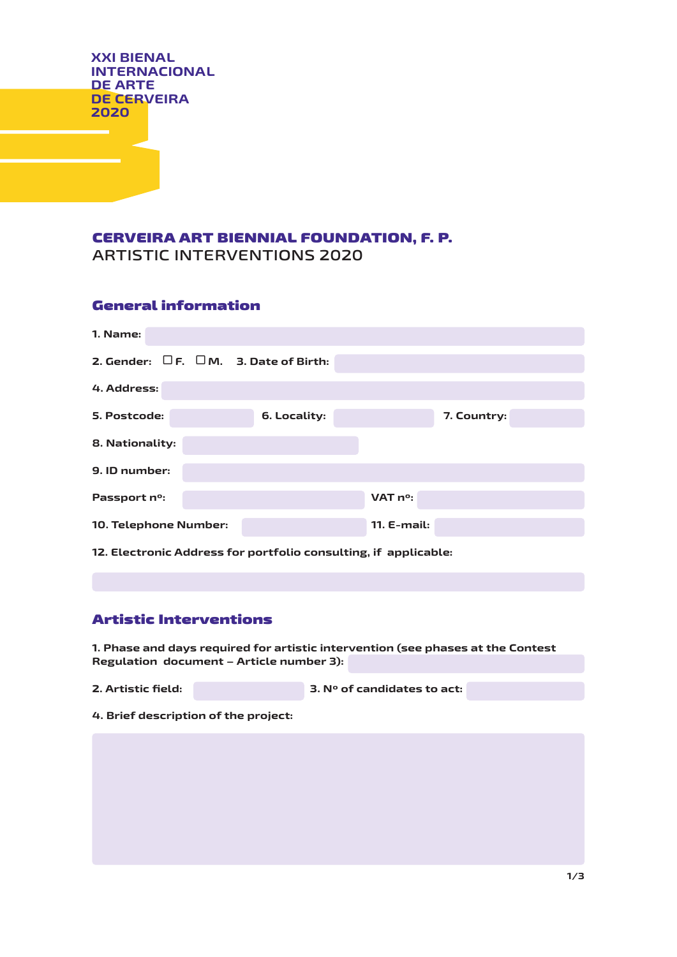**XXI BIENAL INTERNACIONAL DE ARTE DE CERVEIRA 2020**

## CERVEIRA ART BIENNIAL FOUNDATION, F. P. **ARTISTIC INTERVENTIONS 2020**

#### General information

| 1. Name:                                         |              |               |             |
|--------------------------------------------------|--------------|---------------|-------------|
| 2. Gender: $\Box$ F. $\Box$ M. 3. Date of Birth: |              |               |             |
| 4. Address:                                      |              |               |             |
| 5. Postcode:                                     | 6. Locality: |               | 7. Country: |
| 8. Nationality:                                  |              |               |             |
| 9. ID number:                                    |              |               |             |
| Passport n°:                                     |              | VAT no:       |             |
| 10. Telephone Number:                            |              | $11. E-mail:$ |             |

**12. Electronic Address for portfolio consulting, if applicable:**

# Artistic Interventions

**1. Phase and days required for artistic intervention (see phases at the Contest**  Regulation document - Article number 3):

| 2. Artistic field: |  | $\,$ 3. N° of candidates to act: $\,$ |  |
|--------------------|--|---------------------------------------|--|
|--------------------|--|---------------------------------------|--|

**4. Brief description of the project:**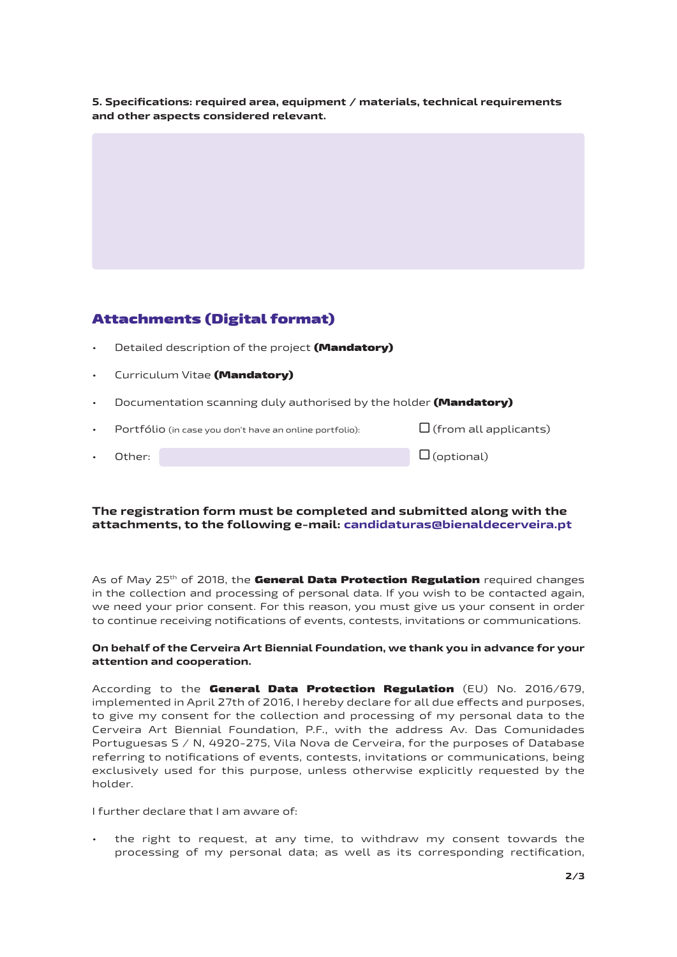**5. Specifications: required area, equipment / materials, technical requirements**  and other aspects considered relevant.

## Attachments (Digital format)

- Detailed description of the project (Mandatory)
- Curriculum Vitae (Mandatory)
- Documentation scanning duly authorised by the holder **(Mandatory)**

| Portfólio (in case you don't have an online portfolio): |  | $\Box$ (from all applicants) |
|---------------------------------------------------------|--|------------------------------|
| Other:                                                  |  | $\square$ (optional)         |

#### **The registration form must be completed and submitted along with the attachments, to the following e-mail: candidaturas@bienaldecerveira.pt**

As of May 25<sup>th</sup> of 2018, the **General Data Protection Regulation** required changes in the collection and processing of personal data. If you wish to be contacted again, we need your prior consent. For this reason, you must give us your consent in order to continue receiving notifications of events, contests, invitations or communications.

#### **On behalf of the Cerveira Art Biennial Foundation, we thank you in advance for your attention and cooperation.**

According to the General Data Protection Regulation (EU) No. 2016/679, implemented in April 27th of 2016, I hereby declare for all due effects and purposes, to give my consent for the collection and processing of my personal data to the Cerveira Art Biennial Foundation, P.F., with the address Av. Das Comunidades Portuguesas S / N, 4920-275, Vila Nova de Cerveira, for the purposes of Database referring to notifications of events, contests, invitations or communications, being exclusively used for this purpose, unless otherwise explicitly requested by the holder.

I further declare that I am aware of:

• the right to request, at any time, to withdraw my consent towards the processing of my personal data; as well as its corresponding rectification,